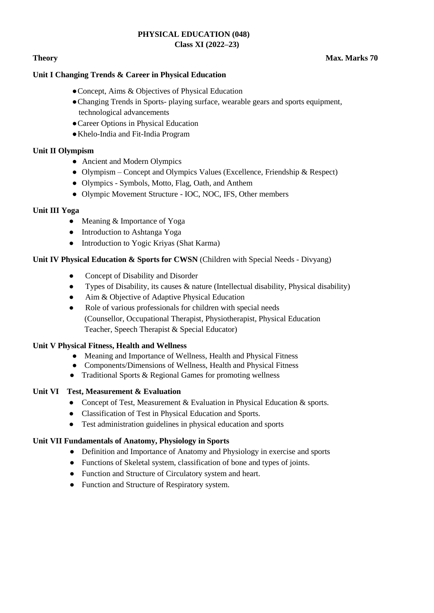### **PHYSICAL EDUCATION (048) Class XI (2022–23)**

# **Theory** Max. Marks 70

### **Unit I Changing Trends & Career in Physical Education**

- ●Concept, Aims & Objectives of Physical Education
- ●Changing Trends in Sports- playing surface, wearable gears and sports equipment, technological advancements
- ●Career Options in Physical Education
- ●Khelo-India and Fit-India Program

### **Unit II Olympism**

- Ancient and Modern Olympics
- Olympism Concept and Olympics Values (Excellence, Friendship & Respect)
- Olympics Symbols, Motto, Flag, Oath, and Anthem
- Olympic Movement Structure IOC, NOC, IFS, Other members

### **Unit III Yoga**

- Meaning & Importance of Yoga
- Introduction to Ashtanga Yoga
- Introduction to Yogic Kriyas (Shat Karma)

### **Unit IV Physical Education & Sports for CWSN** (Children with Special Needs - Divyang)

- Concept of Disability and Disorder
- Types of Disability, its causes & nature (Intellectual disability, Physical disability)
- Aim & Objective of Adaptive Physical Education
- Role of various professionals for children with special needs (Counsellor, Occupational Therapist, Physiotherapist, Physical Education Teacher, Speech Therapist & Special Educator)

### **Unit V Physical Fitness, Health and Wellness**

- Meaning and Importance of Wellness, Health and Physical Fitness
- Components/Dimensions of Wellness, Health and Physical Fitness
- Traditional Sports & Regional Games for promoting wellness

### **Unit VI Test, Measurement & Evaluation**

- Concept of Test, Measurement & Evaluation in Physical Education & sports.
- Classification of Test in Physical Education and Sports.
- Test administration guidelines in physical education and sports

# **Unit VII Fundamentals of Anatomy, Physiology in Sports**

- Definition and Importance of Anatomy and Physiology in exercise and sports
- Functions of Skeletal system, classification of bone and types of joints.
- Function and Structure of Circulatory system and heart.
- Function and Structure of Respiratory system.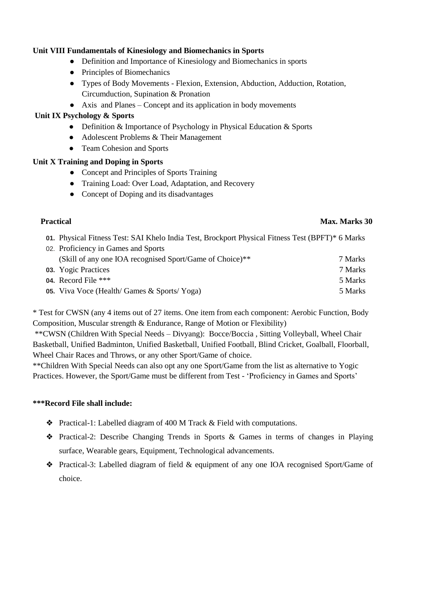### **Unit VIII Fundamentals of Kinesiology and Biomechanics in Sports**

- Definition and Importance of Kinesiology and Biomechanics in sports
- Principles of Biomechanics
- Types of Body Movements Flexion, Extension, Abduction, Adduction, Rotation, Circumduction, Supination & Pronation
- Axis and Planes Concept and its application in body movements

# **Unit IX Psychology & Sports**

- Definition & Importance of Psychology in Physical Education & Sports
- Adolescent Problems & Their Management
- Team Cohesion and Sports

# **Unit X Training and Doping in Sports**

- Concept and Principles of Sports Training
- Training Load: Over Load, Adaptation, and Recovery
- Concept of Doping and its disadvantages

### **Practical Max. Marks 30**

- **01.** Physical Fitness Test: SAI Khelo India Test, Brockport Physical Fitness Test (BPFT)\* 6 Marks
- 02. Proficiency in Games and Sports (Skill of any one IOA recognised Sport/Game of Choice)\*\* 7 Marks **03.** Yogic Practices 7 Marks
- **04.** Record File \*\*\* 5 Marks
- **05.** Viva Voce (Health/ Games & Sports/ Yoga) 5 Marks

\* Test for CWSN (any 4 items out of 27 items. One item from each component: Aerobic Function, Body Composition, Muscular strength & Endurance, Range of Motion or Flexibility)

\*\*CWSN (Children With Special Needs – Divyang): Bocce/Boccia , Sitting Volleyball, Wheel Chair Basketball, Unified Badminton, Unified Basketball, Unified Football, Blind Cricket, Goalball, Floorball, Wheel Chair Races and Throws, or any other Sport/Game of choice.

\*\*Children With Special Needs can also opt any one Sport/Game from the list as alternative to Yogic Practices. However, the Sport/Game must be different from Test - 'Proficiency in Games and Sports'

# **\*\*\*Record File shall include:**

- ❖ Practical-1: Labelled diagram of 400 M Track & Field with computations.
- ❖ Practical-2: Describe Changing Trends in Sports & Games in terms of changes in Playing surface, Wearable gears, Equipment, Technological advancements.
- ❖ Practical-3: Labelled diagram of field & equipment of any one IOA recognised Sport/Game of choice.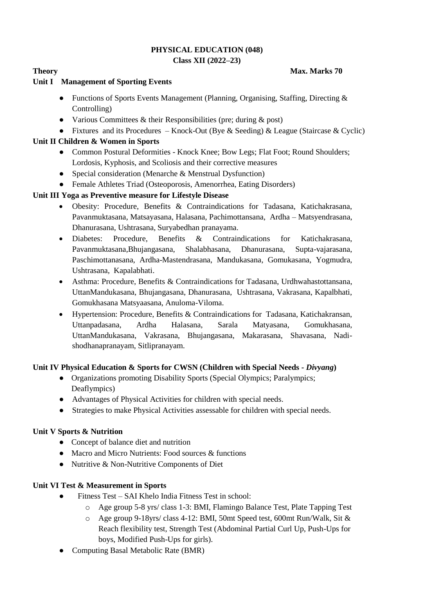### **PHYSICAL EDUCATION (048) Class XII (2022–23)**

### **Theory Max. Marks 70**

# **Unit I Management of Sporting Events**

- Functions of Sports Events Management (Planning, Organising, Staffing, Directing & Controlling)
- Various Committees  $\&$  their Responsibilities (pre; during  $\&$  post)
- Fixtures and its Procedures Knock-Out (Bye & Seeding) & League (Staircase & Cyclic)

# **Unit II Children & Women in Sports**

- Common Postural Deformities Knock Knee; Bow Legs; Flat Foot; Round Shoulders; Lordosis, Kyphosis, and Scoliosis and their corrective measures
- Special consideration (Menarche & Menstrual Dysfunction)
- Female Athletes Triad (Osteoporosis, Amenorrhea, Eating Disorders)

# **Unit III Yoga as Preventive measure for Lifestyle Disease**

- Obesity: Procedure, Benefits & Contraindications for Tadasana, Katichakrasana, Pavanmuktasana, Matsayasana, Halasana, Pachimottansana, Ardha – Matsyendrasana, Dhanurasana, Ushtrasana, Suryabedhan pranayama.
- Diabetes: Procedure, Benefits & Contraindications for Katichakrasana, Pavanmuktasana,Bhujangasana, Shalabhasana, Dhanurasana, Supta-vajarasana, Paschimottanasana, Ardha-Mastendrasana, Mandukasana, Gomukasana, Yogmudra, Ushtrasana, Kapalabhati.
- Asthma: Procedure, Benefits & Contraindications for Tadasana, Urdhwahastottansana, UttanMandukasana, Bhujangasana, Dhanurasana, Ushtrasana, Vakrasana, Kapalbhati, Gomukhasana Matsyaasana, Anuloma-Viloma.
- Hypertension: Procedure, Benefits & Contraindications for Tadasana, Katichakransan, Uttanpadasana, Ardha Halasana, Sarala Matyasana, Gomukhasana, UttanMandukasana, Vakrasana, Bhujangasana, Makarasana, Shavasana, Nadishodhanapranayam, Sitlipranayam.

# **Unit IV Physical Education & Sports for CWSN (Children with Special Needs -** *Divyang***)**

- Organizations promoting Disability Sports (Special Olympics; Paralympics; Deaflympics)
- Advantages of Physical Activities for children with special needs.
- Strategies to make Physical Activities assessable for children with special needs.

# **Unit V Sports & Nutrition**

- Concept of balance diet and nutrition
- Macro and Micro Nutrients: Food sources & functions
- Nutritive & Non-Nutritive Components of Diet

# **Unit VI Test & Measurement in Sports**

- Fitness Test SAI Khelo India Fitness Test in school:
	- o Age group 5-8 yrs/ class 1-3: BMI, Flamingo Balance Test, Plate Tapping Test
	- o Age group 9-18yrs/ class 4-12: BMI, 50mt Speed test, 600mt Run/Walk, Sit & Reach flexibility test, Strength Test (Abdominal Partial Curl Up, Push-Ups for boys, Modified Push-Ups for girls).
- Computing Basal Metabolic Rate (BMR)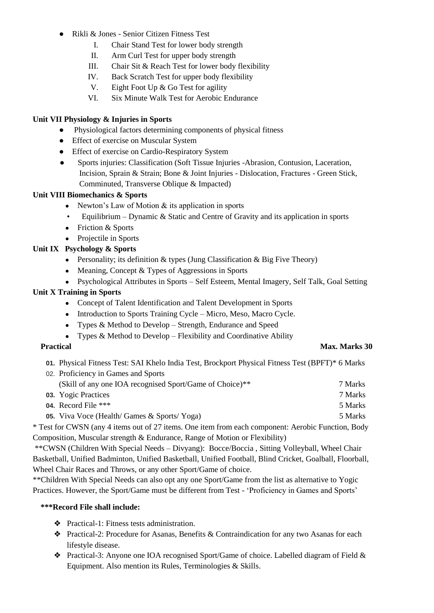- Rikli & Jones Senior Citizen Fitness Test
	- I. Chair Stand Test for lower body strength
	- II. Arm Curl Test for upper body strength
	- III. Chair Sit & Reach Test for lower body flexibility
	- IV. Back Scratch Test for upper body flexibility
	- V. Eight Foot Up & Go Test for agility
	- VI. Six Minute Walk Test for Aerobic Endurance

# **Unit VII Physiology & Injuries in Sports**

- Physiological factors determining components of physical fitness
- Effect of exercise on Muscular System
- Effect of exercise on Cardio-Respiratory System
- Sports injuries: Classification (Soft Tissue Injuries -Abrasion, Contusion, Laceration, Incision, Sprain & Strain; Bone & Joint Injuries - Dislocation, Fractures - Green Stick, Comminuted, Transverse Oblique & Impacted)

# **Unit VIII Biomechanics & Sports**

- Newton's Law of Motion  $&$  its application in sports
- Equilibrium Dynamic & Static and Centre of Gravity and its application in sports
- Friction & Sports
- Projectile in Sports
- **Unit IX Psychology & Sports**
	- Personality; its definition  $&$  types (Jung Classification  $&$  Big Five Theory)
	- Meaning, Concept & Types of Aggressions in Sports
	- Psychological Attributes in Sports Self Esteem, Mental Imagery, Self Talk, Goal Setting

# **Unit X Training in Sports**

- Concept of Talent Identification and Talent Development in Sports
- Introduction to Sports Training Cycle Micro, Meso, Macro Cycle.
- Types & Method to Develop Strength, Endurance and Speed
- Types & Method to Develop Flexibility and Coordinative Ability

### **Practical Max. Marks 30**

**01.** Physical Fitness Test: SAI Khelo India Test, Brockport Physical Fitness Test (BPFT)\* 6 Marks

| 02. Proficiency in Games and Sports                      |         |
|----------------------------------------------------------|---------|
| (Skill of any one IOA recognised Sport/Game of Choice)** | 7 Marks |
| 03. Yogic Practices                                      | 7 Marks |
| 04. Record File $***$                                    | 5 Marks |
| <b>05.</b> Viva Voce (Health/Games & Sports/Yoga)        | 5 Marks |

\* Test for CWSN (any 4 items out of 27 items. One item from each component: Aerobic Function, Body Composition, Muscular strength & Endurance, Range of Motion or Flexibility)

\*\*CWSN (Children With Special Needs – Divyang): Bocce/Boccia , Sitting Volleyball, Wheel Chair Basketball, Unified Badminton, Unified Basketball, Unified Football, Blind Cricket, Goalball, Floorball, Wheel Chair Races and Throws, or any other Sport/Game of choice.

\*\*Children With Special Needs can also opt any one Sport/Game from the list as alternative to Yogic Practices. However, the Sport/Game must be different from Test - 'Proficiency in Games and Sports'

# **\*\*\*Record File shall include:**

- ❖ Practical-1: Fitness tests administration.
- ❖ Practical-2: Procedure for Asanas, Benefits & Contraindication for any two Asanas for each lifestyle disease.
- ❖ Practical-3: Anyone one IOA recognised Sport/Game of choice. Labelled diagram of Field & Equipment. Also mention its Rules, Terminologies & Skills.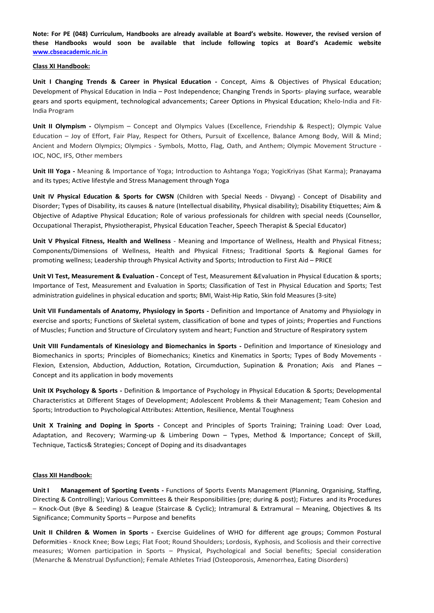**Note: For PE (048) Curriculum, Handbooks are already available at Board's website. However, the revised version of these Handbooks would soon be available that include following topics at Board's Academic website [www.cbseacademic.nic.in](http://www.cbseacademic.nic.in/)**

### **Class XI Handbook:**

**Unit I Changing Trends & Career in Physical Education -** Concept, Aims & Objectives of Physical Education; Development of Physical Education in India – Post Independence; Changing Trends in Sports- playing surface, wearable gears and sports equipment, technological advancements; Career Options in Physical Education; Khelo-India and Fit-India Program

**Unit II Olympism -** Olympism – Concept and Olympics Values (Excellence, Friendship & Respect); Olympic Value Education – Joy of Effort, Fair Play, Respect for Others, Pursuit of Excellence, Balance Among Body, Will & Mind; Ancient and Modern Olympics; Olympics - Symbols, Motto, Flag, Oath, and Anthem; Olympic Movement Structure - IOC, NOC, IFS, Other members

**Unit III Yoga -** Meaning & Importance of Yoga; Introduction to Ashtanga Yoga; YogicKriyas (Shat Karma); Pranayama and its types; Active lifestyle and Stress Management through Yoga

**Unit IV Physical Education & Sports for CWSN** (Children with Special Needs - Divyang) - Concept of Disability and Disorder; Types of Disability, its causes & nature (Intellectual disability, Physical disability); Disability Etiquettes; Aim & Objective of Adaptive Physical Education; Role of various professionals for children with special needs (Counsellor, Occupational Therapist, Physiotherapist, Physical Education Teacher, Speech Therapist & Special Educator)

**Unit V Physical Fitness, Health and Wellness** - Meaning and Importance of Wellness, Health and Physical Fitness; Components/Dimensions of Wellness, Health and Physical Fitness; Traditional Sports & Regional Games for promoting wellness; Leadership through Physical Activity and Sports; Introduction to First Aid – PRICE

**Unit VI Test, Measurement & Evaluation -** Concept of Test, Measurement &Evaluation in Physical Education & sports; Importance of Test, Measurement and Evaluation in Sports; Classification of Test in Physical Education and Sports; Test administration guidelines in physical education and sports; BMI, Waist-Hip Ratio, Skin fold Measures (3-site)

**Unit VII Fundamentals of Anatomy, Physiology in Sports -** Definition and Importance of Anatomy and Physiology in exercise and sports; Functions of Skeletal system, classification of bone and types of joints; Properties and Functions of Muscles; Function and Structure of Circulatory system and heart; Function and Structure of Respiratory system

**Unit VIII Fundamentals of Kinesiology and Biomechanics in Sports -** Definition and Importance of Kinesiology and Biomechanics in sports; Principles of Biomechanics; Kinetics and Kinematics in Sports; Types of Body Movements - Flexion, Extension, Abduction, Adduction, Rotation, Circumduction, Supination & Pronation; Axis and Planes – Concept and its application in body movements

**Unit IX Psychology & Sports -** Definition & Importance of Psychology in Physical Education & Sports; Developmental Characteristics at Different Stages of Development; Adolescent Problems & their Management; Team Cohesion and Sports; Introduction to Psychological Attributes: Attention, Resilience, Mental Toughness

**Unit X Training and Doping in Sports -** Concept and Principles of Sports Training; Training Load: Over Load, Adaptation, and Recovery; Warming-up & Limbering Down – Types, Method & Importance; Concept of Skill, Technique, Tactics& Strategies; Concept of Doping and its disadvantages

### **Class XII Handbook:**

**Unit I Management of Sporting Events -** Functions of Sports Events Management (Planning, Organising, Staffing, Directing & Controlling); Various Committees & their Responsibilities (pre; during & post); Fixtures and its Procedures – Knock-Out (Bye & Seeding) & League (Staircase & Cyclic); Intramural & Extramural – Meaning, Objectives & Its Significance; Community Sports – Purpose and benefits

**Unit II Children & Women in Sports -** Exercise Guidelines of WHO for different age groups; Common Postural Deformities - Knock Knee; Bow Legs; Flat Foot; Round Shoulders; Lordosis, Kyphosis, and Scoliosis and their corrective measures; Women participation in Sports – Physical, Psychological and Social benefits; Special consideration (Menarche & Menstrual Dysfunction); Female Athletes Triad (Osteoporosis, Amenorrhea, Eating Disorders)